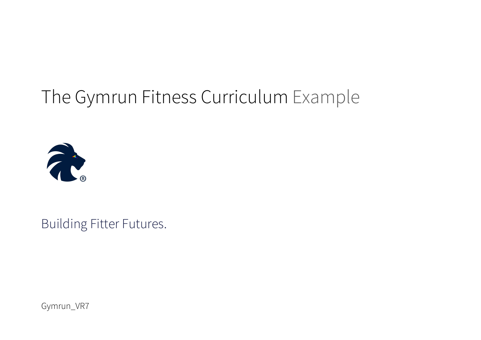# The Gymrun Fitness Curriculum Example



Building Fitter Futures.

Gymrun\_VR7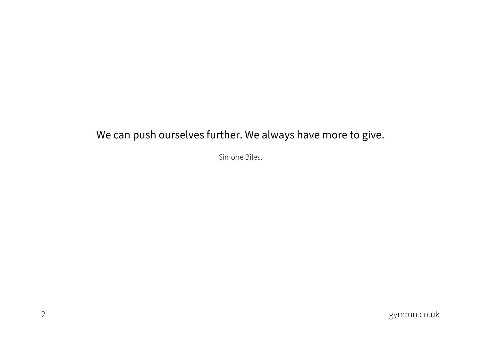### We can push ourselves further. We always have more to give.

Simone Biles.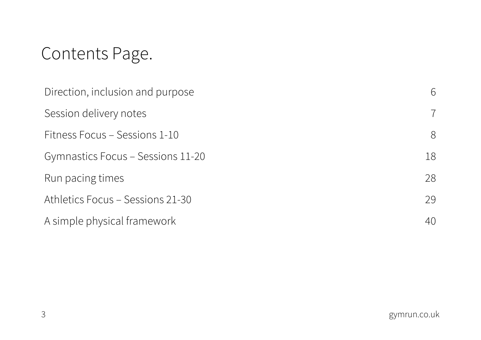## Contents Page.

| Direction, inclusion and purpose  |                |
|-----------------------------------|----------------|
| Session delivery notes            | $\overline{7}$ |
| Fitness Focus - Sessions 1-10     | 8              |
| Gymnastics Focus – Sessions 11-20 | 18             |
| Run pacing times                  | 28             |
| Athletics Focus - Sessions 21-30  | 29             |
| A simple physical framework       | 40             |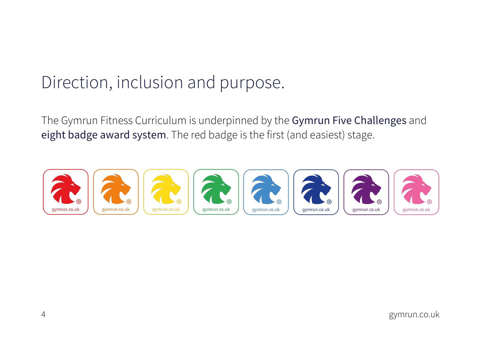## Direction, inclusion and purpose.

The Gymrun Fitness Curriculum is underpinned by the Gymrun Five Challenges and eight badge award system. The red badge is the first (and easiest) stage.

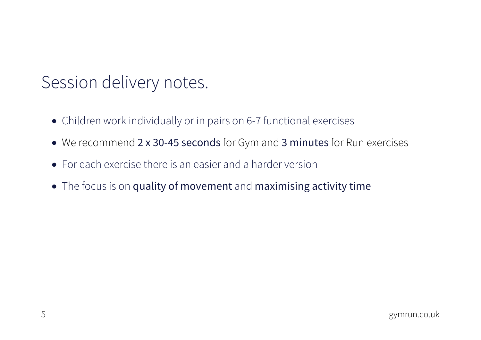## Session delivery notes.

- Children work individually or in pairs on 6-7 functional exercises
- We recommend 2 x 30-45 seconds for Gym and 3 minutes for Run exercises
- For each exercise there is an easier and a harder version
- The focus is on quality of movement and maximising activity time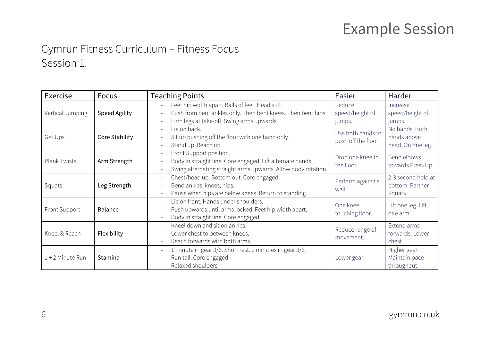### Example Session

#### Gymrun Fitness Curriculum – Fitness Focus Session 1.

| Exercise         | Focus                | <b>Teaching Points</b>                                                                                                                                         | Easier                                   | Harder                                             |
|------------------|----------------------|----------------------------------------------------------------------------------------------------------------------------------------------------------------|------------------------------------------|----------------------------------------------------|
| Vertical Jumping | <b>Speed Agility</b> | Feet hip width apart. Balls of feet. Head still.<br>Push from bent ankles only. Then bent knees. Then bent hips.<br>Firm legs at take-off. Swing arms upwards. | Reduce<br>speed/height of<br>jumps.      | Increase<br>speed/height of<br>jumps.              |
| Get Ups          | Core Stability       | Lie on back.<br>Sit up pushing off the floor with one hand only.<br>Stand up. Reach up.                                                                        | Use both hands to<br>push off the floor. | No hands. Both<br>hands above<br>head. On one leg. |
| Plank Twists     | Arm Strength         | Front Support position.<br>Body in straight line. Core engaged. Lift alternate hands.<br>Swing alternating straight arms upwards. Allow body rotation.         | Drop one knee to<br>the floor.           | Bend elbows<br>towards Press Up.                   |
| Squats           | Leg Strength         | Chest/head up. Bottom out. Core engaged.<br>Bend ankles, knees, hips.<br>Pause when hips are below knees. Return to standing.                                  | Perform against a<br>wall.               | 2-3 second hold at<br>bottom. Partner<br>Squats.   |
| Front Support    | Balance              | Lie on front. Hands under shoulders.<br>Push upwards until arms locked. Feet hip width apart.<br>Body in straight line. Core engaged.                          | One knee<br>touching floor.              | Lift one leg. Lift<br>one arm.                     |
| Kneel & Reach    | Flexibility          | Kneel down and sit on ankles.<br>Lower chest to between knees.<br>Reach forwards with both arms.                                                               | Reduce range of<br>movement.             | Extend arms<br>forwards. Lower<br>chest.           |
| 1+2 Minute Run   | Stamina              | 1 minute in gear 3/6. Short rest. 2 minutes in gear 3/6.<br>Run tall. Core engaged.<br>Relaxed shoulders.                                                      | Lower gear.                              | Higher gear.<br>Maintain pace<br>throughout.       |